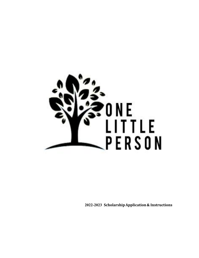

**2022-2023 Scholarship Application & Instructions**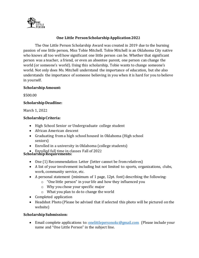

## **One Little Person Scholarship Application 2022**

The One Little Person Scholarship Award was created in 2019 due to the burning passion of one little person, Miss Tobie Mitchell. Tobie Mitchell is an Oklahoma City native who knows all too well how significant one little person can be. Whether that significant person was a teacher, a friend, or even an absentee parent, one person can change the world (or someone's world). Using this scholarship, Tobie wants to change someone's world. Not only does Ms. Mitchell understand the importance of education, but she also understands the importance of someone believing in you when it is hard for you to believe in yourself.

#### **Scholarship Amount:**

\$500.00

# **Scholarship Deadline:**

March 1, 2022

### **Scholarship Criteria:**

- High School Senior or Undergraduate college student
- African American descent
- Graduating from a high school housed in Oklahoma (High school seniors)
- Enrolled in a university in Oklahoma (college students)
- Enrolled full time in classes Fall of 2022 **Scholarship Requirements:**

- One (1) Recommendation Letter (letter cannot be from relatives)
- A list of your involvement including but not limited to: sports, organizations, clubs, work, community service, etc.
- A personal statement (minimum of 1 page, 12pt. font) describing the following:
	- o "One little person" in your life and how they influenced you
	- o Why you chose your specific major
	- o What you plan to do to change the world
- Completed application
- Headshot Photo (Please be advised that if selected this photo will be pictured on the website)

### **Scholarship Submission:**

• Email complete applications to: [onelittlepersonokc@gmail.com](mailto:onelittleperson@gmail.com) (Please include your name and "One Little Person" in the subject line.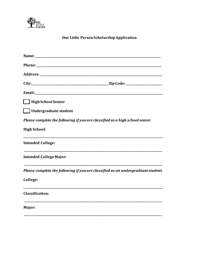

# One Little Person Scholarship Application

| High School Senior                             |                                                                                  |
|------------------------------------------------|----------------------------------------------------------------------------------|
| <b>Undergraduate student</b><br>$\mathbb{R}^n$ |                                                                                  |
|                                                | Please complete the following if you are classified as a high school senior.     |
| <b>High School:</b>                            |                                                                                  |
| <b>Intended College:</b>                       |                                                                                  |
| <b>Intended College Major:</b>                 |                                                                                  |
|                                                | Please complete the following if you are classified as an undergraduate student. |
| College:                                       |                                                                                  |
| <b>Classification:</b>                         |                                                                                  |
| Major:                                         |                                                                                  |
|                                                |                                                                                  |